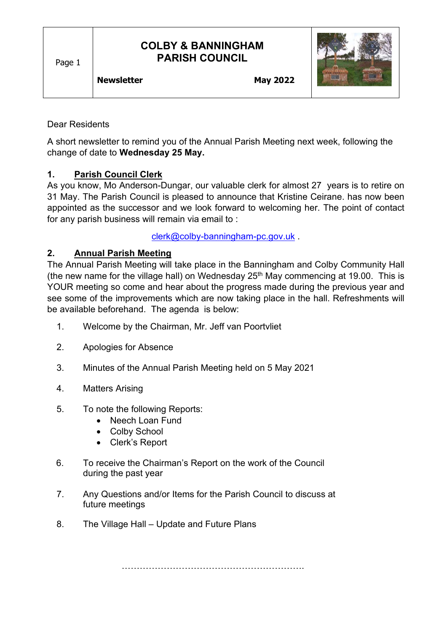Page 1

# **COLBY & BANNINGHAM PARISH COUNCIL**



#### Dear Residents

A short newsletter to remind you of the Annual Parish Meeting next week, following the change of date to **Wednesday 25 May.**

## **1. Parish Council Clerk**

As you know, Mo Anderson-Dungar, our valuable clerk for almost 27 years is to retire on 31 May. The Parish Council is pleased to announce that Kristine Ceirane. has now been appointed as the successor and we look forward to welcoming her. The point of contact for any parish business will remain via email to :

[clerk@colby-banningham-pc.gov.uk](mailto:clerk@colby-banningham-pc.gov.uk) .

## **2. Annual Parish Meeting**

The Annual Parish Meeting will take place in the Banningham and Colby Community Hall (the new name for the village hall) on Wednesday  $25<sup>th</sup>$  May commencing at 19.00. This is YOUR meeting so come and hear about the progress made during the previous year and see some of the improvements which are now taking place in the hall. Refreshments will be available beforehand. The agenda is below:

- 1. Welcome by the Chairman, Mr. Jeff van Poortvliet
- 2. Apologies for Absence
- 3. Minutes of the Annual Parish Meeting held on 5 May 2021
- 4. Matters Arising
- 5. To note the following Reports:
	- Neech Loan Fund
	- Colby School
	- Clerk's Report
- 6. To receive the Chairman's Report on the work of the Council during the past year
- 7. Any Questions and/or Items for the Parish Council to discuss at future meetings
- 8. The Village Hall Update and Future Plans

…………………………………………………….